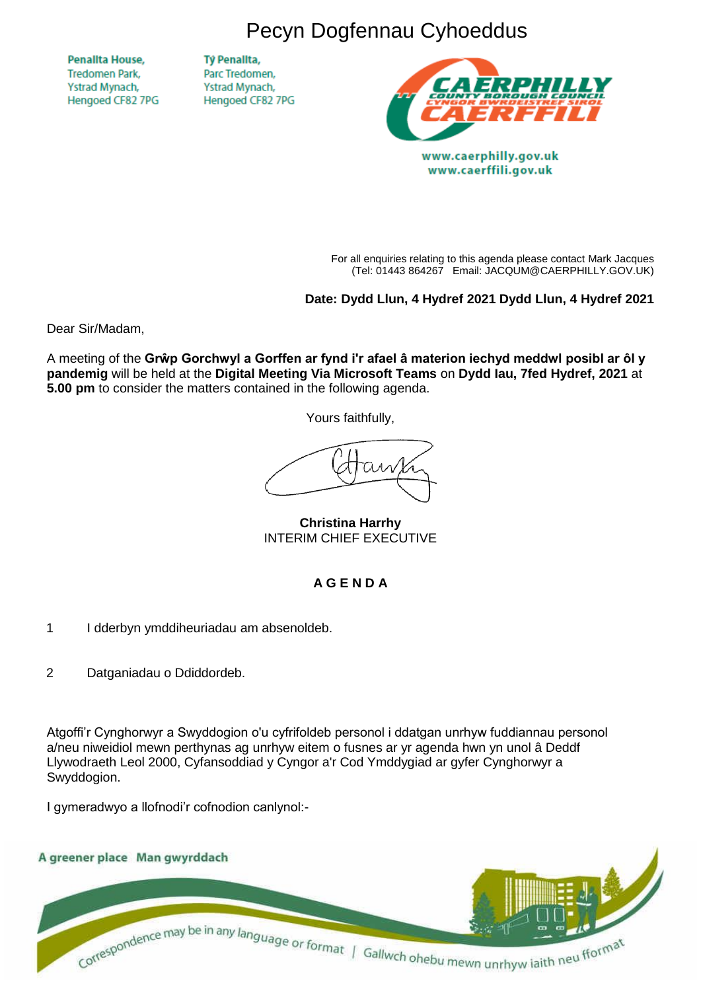Pecyn Dogfennau Cyhoeddus

**Penallta House, Tredomen Park.** Ystrad Mynach, Hengoed CF82 7PG

**TV Penallta,** Parc Tredomen. Ystrad Mynach, Hengoed CF82 7PG



www.caerphilly.gov.uk www.caerffili.gov.uk

For all enquiries relating to this agenda please contact Mark Jacques (Tel: 01443 864267 Email: JACQUM@CAERPHILLY.GOV.UK)

**Date: Dydd Llun, 4 Hydref 2021 Dydd Llun, 4 Hydref 2021**

Dear Sir/Madam,

A meeting of the **Grŵp Gorchwyl a Gorffen ar fynd i'r afael â materion iechyd meddwl posibl ar ôl y pandemig** will be held at the **Digital Meeting Via Microsoft Teams** on **Dydd Iau, 7fed Hydref, 2021** at **5.00 pm** to consider the matters contained in the following agenda.

Yours faithfully,

**Christina Harrhy** INTERIM CHIEF EXECUTIVE

# **A G E N D A**

- 1 I dderbyn ymddiheuriadau am absenoldeb.
- 2 Datganiadau o Ddiddordeb.

Atgoffi'r Cynghorwyr a Swyddogion o'u cyfrifoldeb personol i ddatgan unrhyw fuddiannau personol a/neu niweidiol mewn perthynas ag unrhyw eitem o fusnes ar yr agenda hwn yn unol â Deddf Llywodraeth Leol 2000, Cyfansoddiad y Cyngor a'r Cod Ymddygiad ar gyfer Cynghorwyr a Swyddogion.

I gymeradwyo a llofnodi'r cofnodion canlynol:-

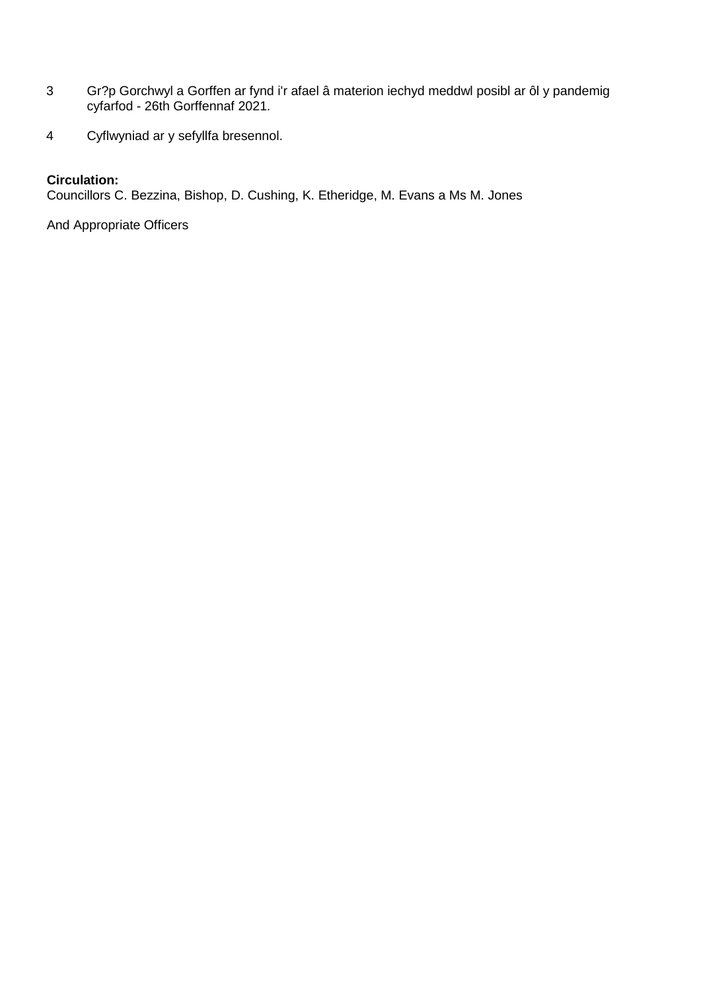- 3 Gr?p Gorchwyl a Gorffen ar fynd i'r afael â materion iechyd meddwl posibl ar ôl y pandemig cyfarfod - 26th Gorffennaf 2021.
- 4 Cyflwyniad ar y sefyllfa bresennol.

### **Circulation:**

Councillors C. Bezzina, Bishop, D. Cushing, K. Etheridge, M. Evans a Ms M. Jones

And Appropriate Officers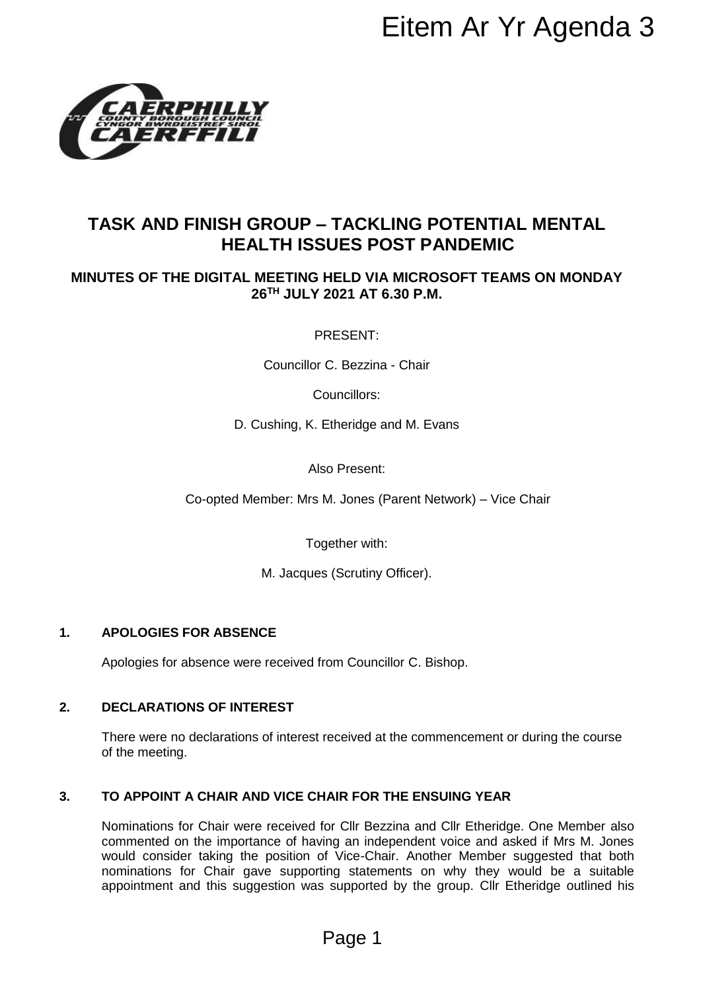

# **TASK AND FINISH GROUP – TACKLING POTENTIAL MENTAL HEALTH ISSUES POST PANDEMIC**

# **MINUTES OF THE DIGITAL MEETING HELD VIA MICROSOFT TEAMS ON MONDAY 26 TH JULY 2021 AT 6.30 P.M.**

PRESENT:

Councillor C. Bezzina - Chair

Councillors:

D. Cushing, K. Etheridge and M. Evans

Also Present:

Co-opted Member: Mrs M. Jones (Parent Network) – Vice Chair

Together with:

M. Jacques (Scrutiny Officer).

#### **1. APOLOGIES FOR ABSENCE**

Apologies for absence were received from Councillor C. Bishop.

#### **2. DECLARATIONS OF INTEREST**

There were no declarations of interest received at the commencement or during the course of the meeting.

#### **3. TO APPOINT A CHAIR AND VICE CHAIR FOR THE ENSUING YEAR**

Nominations for Chair were received for Cllr Bezzina and Cllr Etheridge. One Member also commented on the importance of having an independent voice and asked if Mrs M. Jones would consider taking the position of Vice-Chair. Another Member suggested that both nominations for Chair gave supporting statements on why they would be a suitable appointment and this suggestion was supported by the group. Cllr Etheridge outlined his EITEM AF YT AGENTAL<br>
FACKLING POTENTIAL MENTAL<br>
HELD VIA MICROSOFT TEAMS ON MONDAY<br>
2021 AT 6.30 P.M.<br>
RESENT:<br>
C. Bezzina - Chair<br>
C. Bezzina - Chair<br>
C. Bezzina - Chair<br>
So Present:<br>
Etheridge and M. Evans<br>
so Present:<br>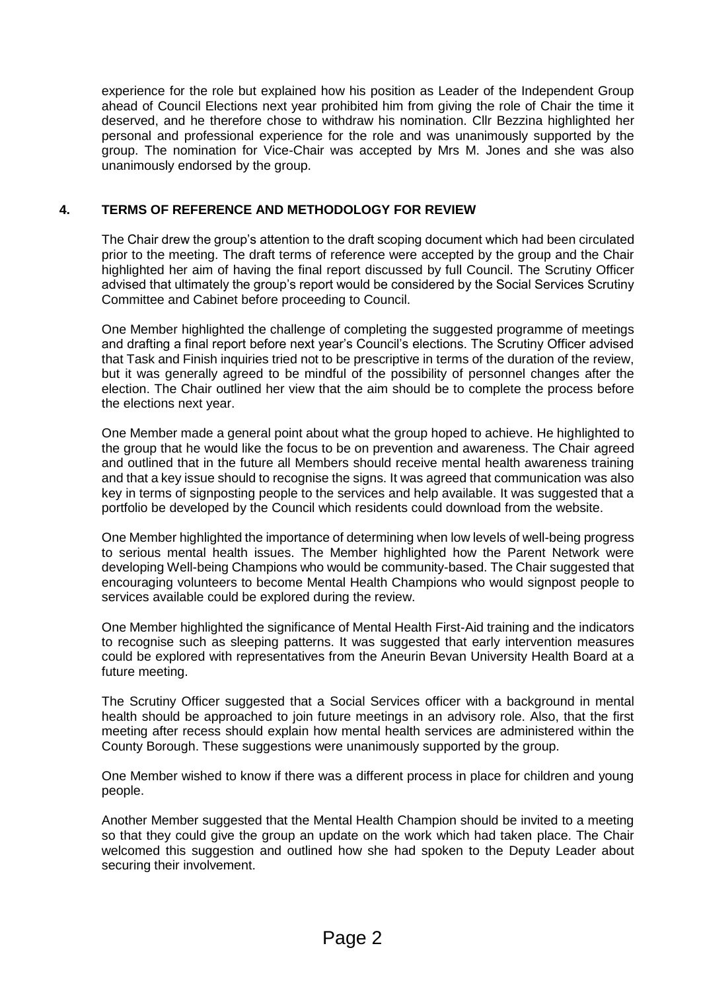experience for the role but explained how his position as Leader of the Independent Group ahead of Council Elections next year prohibited him from giving the role of Chair the time it deserved, and he therefore chose to withdraw his nomination. Cllr Bezzina highlighted her personal and professional experience for the role and was unanimously supported by the group. The nomination for Vice-Chair was accepted by Mrs M. Jones and she was also unanimously endorsed by the group.

## **4. TERMS OF REFERENCE AND METHODOLOGY FOR REVIEW**

The Chair drew the group's attention to the draft scoping document which had been circulated prior to the meeting. The draft terms of reference were accepted by the group and the Chair highlighted her aim of having the final report discussed by full Council. The Scrutiny Officer advised that ultimately the group's report would be considered by the Social Services Scrutiny Committee and Cabinet before proceeding to Council.

One Member highlighted the challenge of completing the suggested programme of meetings and drafting a final report before next year's Council's elections. The Scrutiny Officer advised that Task and Finish inquiries tried not to be prescriptive in terms of the duration of the review, but it was generally agreed to be mindful of the possibility of personnel changes after the election. The Chair outlined her view that the aim should be to complete the process before the elections next year.

One Member made a general point about what the group hoped to achieve. He highlighted to the group that he would like the focus to be on prevention and awareness. The Chair agreed and outlined that in the future all Members should receive mental health awareness training and that a key issue should to recognise the signs. It was agreed that communication was also key in terms of signposting people to the services and help available. It was suggested that a portfolio be developed by the Council which residents could download from the website.

One Member highlighted the importance of determining when low levels of well-being progress to serious mental health issues. The Member highlighted how the Parent Network were developing Well-being Champions who would be community-based. The Chair suggested that encouraging volunteers to become Mental Health Champions who would signpost people to services available could be explored during the review.

One Member highlighted the significance of Mental Health First-Aid training and the indicators to recognise such as sleeping patterns. It was suggested that early intervention measures could be explored with representatives from the Aneurin Bevan University Health Board at a future meeting.

The Scrutiny Officer suggested that a Social Services officer with a background in mental health should be approached to join future meetings in an advisory role. Also, that the first meeting after recess should explain how mental health services are administered within the County Borough. These suggestions were unanimously supported by the group.

One Member wished to know if there was a different process in place for children and young people.

Another Member suggested that the Mental Health Champion should be invited to a meeting so that they could give the group an update on the work which had taken place. The Chair welcomed this suggestion and outlined how she had spoken to the Deputy Leader about securing their involvement.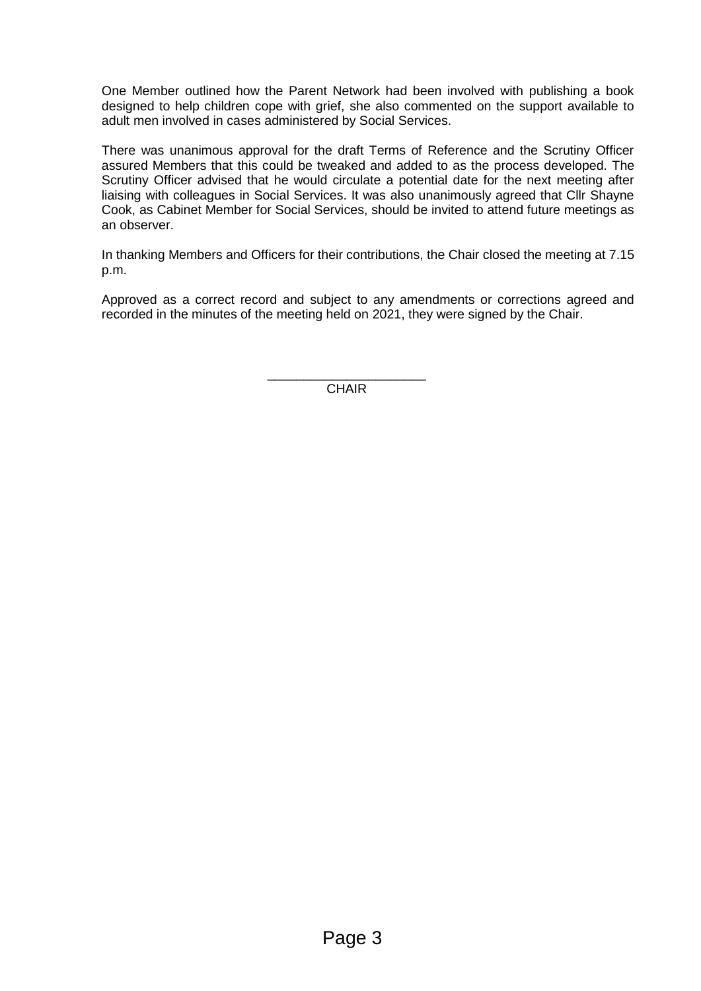One Member outlined how the Parent Network had been involved with publishing a book designed to help children cope with grief, she also commented on the support available to adult men involved in cases administered by Social Services.

There was unanimous approval for the draft Terms of Reference and the Scrutiny Officer assured Members that this could be tweaked and added to as the process developed. The Scrutiny Officer advised that he would circulate a potential date for the next meeting after liaising with colleagues in Social Services. It was also unanimously agreed that Cllr Shayne Cook, as Cabinet Member for Social Services, should be invited to attend future meetings as an observer.

In thanking Members and Officers for their contributions, the Chair closed the meeting at 7.15 p.m.

Approved as a correct record and subject to any amendments or corrections agreed and recorded in the minutes of the meeting held on 2021, they were signed by the Chair.

> \_\_\_\_\_\_\_\_\_\_\_\_\_\_\_\_\_\_\_\_\_\_ CHAIR